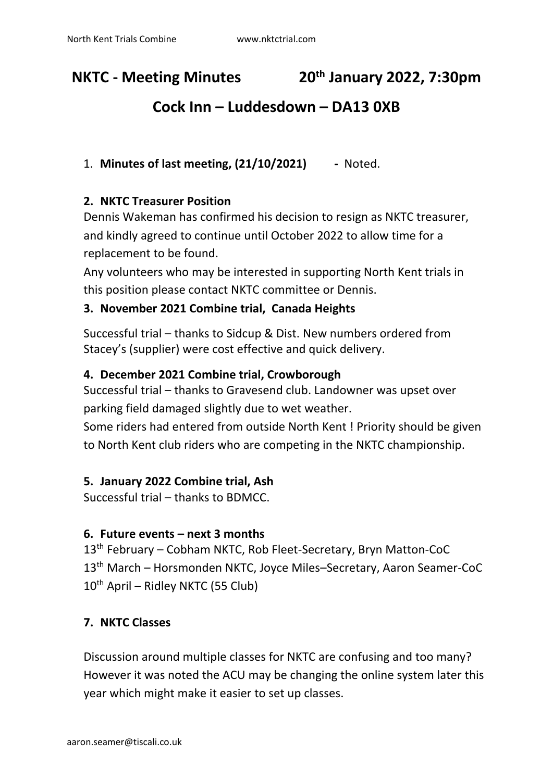#### **NKTC - Meeting Minutes th January 2022, 7:30pm**

# **Cock Inn – Luddesdown – DA13 0XB**

### 1. **Minutes of last meeting, (21/10/2021) -** Noted.

### **2. NKTC Treasurer Position**

Dennis Wakeman has confirmed his decision to resign as NKTC treasurer, and kindly agreed to continue until October 2022 to allow time for a replacement to be found.

Any volunteers who may be interested in supporting North Kent trials in this position please contact NKTC committee or Dennis.

### **3. November 2021 Combine trial, Canada Heights**

Successful trial – thanks to Sidcup & Dist. New numbers ordered from Stacey's (supplier) were cost effective and quick delivery.

### **4. December 2021 Combine trial, Crowborough**

Successful trial – thanks to Gravesend club. Landowner was upset over parking field damaged slightly due to wet weather.

Some riders had entered from outside North Kent ! Priority should be given to North Kent club riders who are competing in the NKTC championship.

### **5. January 2022 Combine trial, Ash**

Successful trial – thanks to BDMCC.

#### **6. Future events – next 3 months**

13th February – Cobham NKTC, Rob Fleet-Secretary, Bryn Matton-CoC 13th March – Horsmonden NKTC, Joyce Miles–Secretary, Aaron Seamer-CoC 10<sup>th</sup> April – Ridley NKTC (55 Club)

#### **7. NKTC Classes**

Discussion around multiple classes for NKTC are confusing and too many? However it was noted the ACU may be changing the online system later this year which might make it easier to set up classes.